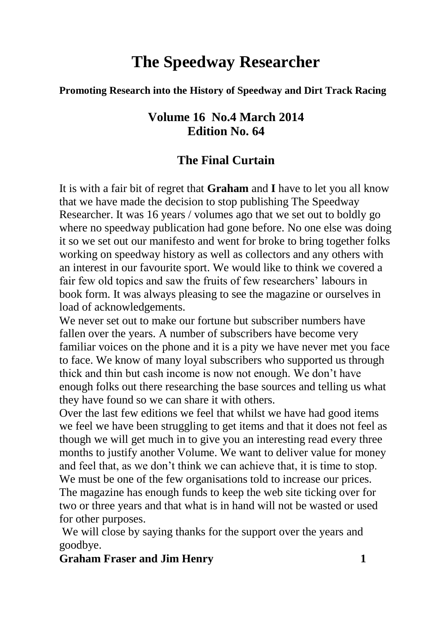# **The Speedway Researcher**

#### **Promoting Research into the History of Speedway and Dirt Track Racing**

## **Volume 16 No.4 March 2014 Edition No. 64**

## **The Final Curtain**

It is with a fair bit of regret that **Graham** and **I** have to let you all know that we have made the decision to stop publishing The Speedway Researcher. It was 16 years / volumes ago that we set out to boldly go where no speedway publication had gone before. No one else was doing it so we set out our manifesto and went for broke to bring together folks working on speedway history as well as collectors and any others with an interest in our favourite sport. We would like to think we covered a fair few old topics and saw the fruits of few researchers' labours in book form. It was always pleasing to see the magazine or ourselves in load of acknowledgements.

We never set out to make our fortune but subscriber numbers have fallen over the years. A number of subscribers have become very familiar voices on the phone and it is a pity we have never met you face to face. We know of many loyal subscribers who supported us through thick and thin but cash income is now not enough. We don't have enough folks out there researching the base sources and telling us what they have found so we can share it with others.

Over the last few editions we feel that whilst we have had good items we feel we have been struggling to get items and that it does not feel as though we will get much in to give you an interesting read every three months to justify another Volume. We want to deliver value for money and feel that, as we don't think we can achieve that, it is time to stop. We must be one of the few organisations told to increase our prices. The magazine has enough funds to keep the web site ticking over for two or three years and that what is in hand will not be wasted or used for other purposes.

We will close by saying thanks for the support over the years and goodbye.

**Graham Fraser and Jim Henry 1**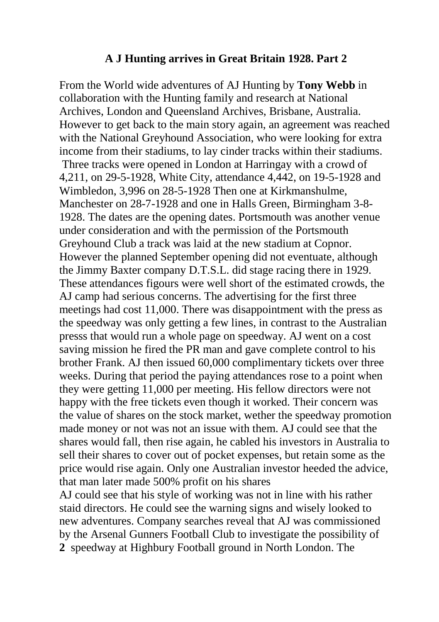#### **A J Hunting arrives in Great Britain 1928. Part 2**

From the World wide adventures of AJ Hunting by **Tony Webb** in collaboration with the Hunting family and research at National Archives, London and Queensland Archives, Brisbane, Australia. However to get back to the main story again, an agreement was reached with the National Greyhound Association, who were looking for extra income from their stadiums, to lay cinder tracks within their stadiums. Three tracks were opened in London at Harringay with a crowd of 4,211, on 29-5-1928, White City, attendance 4,442, on 19-5-1928 and Wimbledon, 3,996 on 28-5-1928 Then one at Kirkmanshulme, Manchester on 28-7-1928 and one in Halls Green, Birmingham 3-8- 1928. The dates are the opening dates. Portsmouth was another venue under consideration and with the permission of the Portsmouth Greyhound Club a track was laid at the new stadium at Copnor. However the planned September opening did not eventuate, although the Jimmy Baxter company D.T.S.L. did stage racing there in 1929. These attendances figours were well short of the estimated crowds, the AJ camp had serious concerns. The advertising for the first three meetings had cost 11,000. There was disappointment with the press as the speedway was only getting a few lines, in contrast to the Australian presss that would run a whole page on speedway. AJ went on a cost saving mission he fired the PR man and gave complete control to his brother Frank. AJ then issued 60,000 complimentary tickets over three weeks. During that period the paying attendances rose to a point when they were getting 11,000 per meeting. His fellow directors were not happy with the free tickets even though it worked. Their concern was the value of shares on the stock market, wether the speedway promotion made money or not was not an issue with them. AJ could see that the shares would fall, then rise again, he cabled his investors in Australia to sell their shares to cover out of pocket expenses, but retain some as the price would rise again. Only one Australian investor heeded the advice, that man later made 500% profit on his shares

AJ could see that his style of working was not in line with his rather staid directors. He could see the warning signs and wisely looked to new adventures. Company searches reveal that AJ was commissioned by the Arsenal Gunners Football Club to investigate the possibility of **2** speedway at Highbury Football ground in North London. The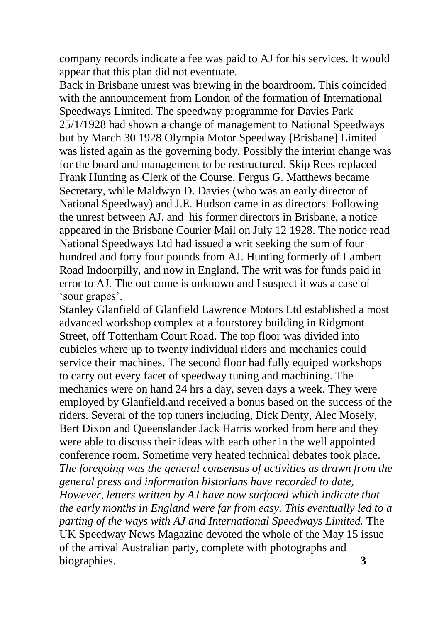company records indicate a fee was paid to AJ for his services. It would appear that this plan did not eventuate.

Back in Brisbane unrest was brewing in the boardroom. This coincided with the announcement from London of the formation of International Speedways Limited. The speedway programme for Davies Park 25/1/1928 had shown a change of management to National Speedways but by March 30 1928 Olympia Motor Speedway [Brisbane] Limited was listed again as the governing body. Possibly the interim change was for the board and management to be restructured. Skip Rees replaced Frank Hunting as Clerk of the Course, Fergus G. Matthews became Secretary, while Maldwyn D. Davies (who was an early director of National Speedway) and J.E. Hudson came in as directors. Following the unrest between AJ. and his former directors in Brisbane, a notice appeared in the Brisbane Courier Mail on July 12 1928. The notice read National Speedways Ltd had issued a writ seeking the sum of four hundred and forty four pounds from AJ. Hunting formerly of Lambert Road Indoorpilly, and now in England. The writ was for funds paid in error to AJ. The out come is unknown and I suspect it was a case of 'sour grapes'.

Stanley Glanfield of Glanfield Lawrence Motors Ltd established a most advanced workshop complex at a fourstorey building in Ridgmont Street, off Tottenham Court Road. The top floor was divided into cubicles where up to twenty individual riders and mechanics could service their machines. The second floor had fully equiped workshops to carry out every facet of speedway tuning and machining. The mechanics were on hand 24 hrs a day, seven days a week. They were employed by Glanfield.and received a bonus based on the success of the riders. Several of the top tuners including, Dick Denty, Alec Mosely, Bert Dixon and Queenslander Jack Harris worked from here and they were able to discuss their ideas with each other in the well appointed conference room. Sometime very heated technical debates took place. *The foregoing was the general consensus of activities as drawn from the general press and information historians have recorded to date, However, letters written by AJ have now surfaced which indicate that the early months in England were far from easy. This eventually led to a parting of the ways with AJ and International Speedways Limited.* The UK Speedway News Magazine devoted the whole of the May 15 issue of the arrival Australian party, complete with photographs and biographies. **3**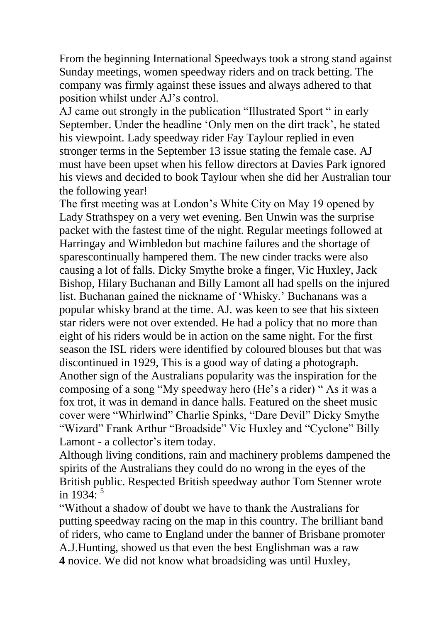From the beginning International Speedways took a strong stand against Sunday meetings, women speedway riders and on track betting. The company was firmly against these issues and always adhered to that position whilst under AJ's control.

AJ came out strongly in the publication "Illustrated Sport " in early September. Under the headline 'Only men on the dirt track', he stated his viewpoint. Lady speedway rider Fay Taylour replied in even stronger terms in the September 13 issue stating the female case. AJ must have been upset when his fellow directors at Davies Park ignored his views and decided to book Taylour when she did her Australian tour the following year!

The first meeting was at London's White City on May 19 opened by Lady Strathspey on a very wet evening. Ben Unwin was the surprise packet with the fastest time of the night. Regular meetings followed at Harringay and Wimbledon but machine failures and the shortage of sparescontinually hampered them. The new cinder tracks were also causing a lot of falls. Dicky Smythe broke a finger, Vic Huxley, Jack Bishop, Hilary Buchanan and Billy Lamont all had spells on the injured list. Buchanan gained the nickname of 'Whisky.' Buchanans was a popular whisky brand at the time. AJ. was keen to see that his sixteen star riders were not over extended. He had a policy that no more than eight of his riders would be in action on the same night. For the first season the ISL riders were identified by coloured blouses but that was discontinued in 1929, This is a good way of dating a photograph. Another sign of the Australians popularity was the inspiration for the composing of a song "My speedway hero (He's a rider) " As it was a fox trot, it was in demand in dance halls. Featured on the sheet music cover were "Whirlwind" Charlie Spinks, "Dare Devil" Dicky Smythe "Wizard" Frank Arthur "Broadside" Vic Huxley and "Cyclone" Billy Lamont - a collector's item today.

Although living conditions, rain and machinery problems dampened the spirits of the Australians they could do no wrong in the eyes of the British public. Respected British speedway author Tom Stenner wrote in  $1934 \cdot 5$ 

"Without a shadow of doubt we have to thank the Australians for putting speedway racing on the map in this country. The brilliant band of riders, who came to England under the banner of Brisbane promoter A.J.Hunting, showed us that even the best Englishman was a raw **4** novice. We did not know what broadsiding was until Huxley,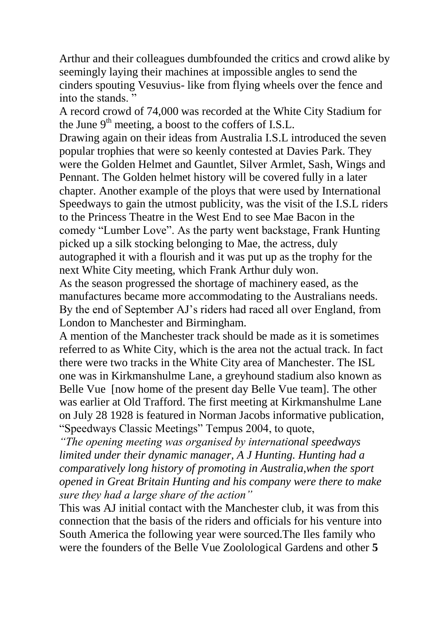Arthur and their colleagues dumbfounded the critics and crowd alike by seemingly laying their machines at impossible angles to send the cinders spouting Vesuvius- like from flying wheels over the fence and into the stands. "

A record crowd of 74,000 was recorded at the White City Stadium for the June  $9<sup>th</sup>$  meeting, a boost to the coffers of I.S.L.

Drawing again on their ideas from Australia I.S.L introduced the seven popular trophies that were so keenly contested at Davies Park. They were the Golden Helmet and Gauntlet, Silver Armlet, Sash, Wings and Pennant. The Golden helmet history will be covered fully in a later chapter. Another example of the ploys that were used by International Speedways to gain the utmost publicity, was the visit of the I.S.L riders to the Princess Theatre in the West End to see Mae Bacon in the comedy "Lumber Love". As the party went backstage, Frank Hunting picked up a silk stocking belonging to Mae, the actress, duly autographed it with a flourish and it was put up as the trophy for the next White City meeting, which Frank Arthur duly won.

As the season progressed the shortage of machinery eased, as the manufactures became more accommodating to the Australians needs. By the end of September AJ's riders had raced all over England, from London to Manchester and Birmingham.

A mention of the Manchester track should be made as it is sometimes referred to as White City, which is the area not the actual track. In fact there were two tracks in the White City area of Manchester. The ISL one was in Kirkmanshulme Lane, a greyhound stadium also known as Belle Vue Inow home of the present day Belle Vue team. The other was earlier at Old Trafford. The first meeting at Kirkmanshulme Lane on July 28 1928 is featured in Norman Jacobs informative publication, "Speedways Classic Meetings" Tempus 2004, to quote,

*"The opening meeting was organised by international speedways limited under their dynamic manager, A J Hunting. Hunting had a comparatively long history of promoting in Australia,when the sport opened in Great Britain Hunting and his company were there to make sure they had a large share of the action"*

This was AJ initial contact with the Manchester club, it was from this connection that the basis of the riders and officials for his venture into South America the following year were sourced.The Iles family who were the founders of the Belle Vue Zoolological Gardens and other **5**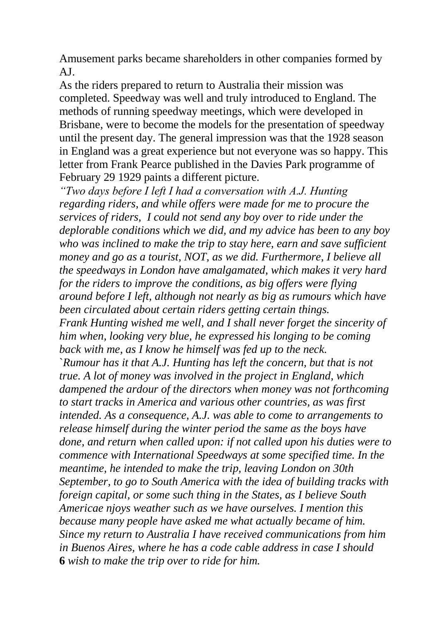Amusement parks became shareholders in other companies formed by A<sub>I</sub>

As the riders prepared to return to Australia their mission was completed. Speedway was well and truly introduced to England. The methods of running speedway meetings, which were developed in Brisbane, were to become the models for the presentation of speedway until the present day. The general impression was that the 1928 season in England was a great experience but not everyone was so happy. This letter from Frank Pearce published in the Davies Park programme of February 29 1929 paints a different picture.

*"Two days before I left I had a conversation with A.J. Hunting regarding riders, and while offers were made for me to procure the services of riders, I could not send any boy over to ride under the deplorable conditions which we did, and my advice has been to any boy who was inclined to make the trip to stay here, earn and save sufficient money and go as a tourist, NOT, as we did. Furthermore, I believe all the speedways in London have amalgamated, which makes it very hard for the riders to improve the conditions, as big offers were flying around before I left, although not nearly as big as rumours which have been circulated about certain riders getting certain things. Frank Hunting wished me well, and I shall never forget the sincerity of him when, looking very blue, he expressed his longing to be coming back with me, as I know he himself was fed up to the neck.* `*Rumour has it that A.J. Hunting has left the concern, but that is not true. A lot of money was involved in the project in England, which dampened the ardour of the directors when money was not forthcoming to start tracks in America and various other countries, as was first intended. As a consequence, A.J. was able to come to arrangements to release himself during the winter period the same as the boys have done, and return when called upon: if not called upon his duties were to commence with International Speedways at some specified time. In the meantime, he intended to make the trip, leaving London on 30th September, to go to South America with the idea of building tracks with foreign capital, or some such thing in the States, as I believe South Americae njoys weather such as we have ourselves. I mention this because many people have asked me what actually became of him. Since my return to Australia I have received communications from him in Buenos Aires, where he has a code cable address in case I should*  **6** *wish to make the trip over to ride for him.*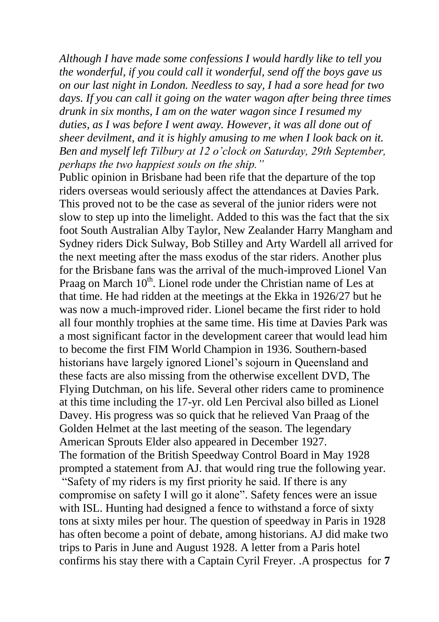*Although I have made some confessions I would hardly like to tell you the wonderful, if you could call it wonderful, send off the boys gave us on our last night in London. Needless to say, I had a sore head for two days. If you can call it going on the water wagon after being three times drunk in six months, I am on the water wagon since I resumed my duties, as I was before I went away. However, it was all done out of sheer devilment, and it is highly amusing to me when I look back on it. Ben and myself left Tilbury at 12 o'clock on Saturday, 29th September, perhaps the two happiest souls on the ship."* 

Public opinion in Brisbane had been rife that the departure of the top riders overseas would seriously affect the attendances at Davies Park. This proved not to be the case as several of the junior riders were not slow to step up into the limelight. Added to this was the fact that the six foot South Australian Alby Taylor, New Zealander Harry Mangham and Sydney riders Dick Sulway, Bob Stilley and Arty Wardell all arrived for the next meeting after the mass exodus of the star riders. Another plus for the Brisbane fans was the arrival of the much-improved Lionel Van Praag on March  $10<sup>th</sup>$ . Lionel rode under the Christian name of Les at that time. He had ridden at the meetings at the Ekka in 1926/27 but he was now a much-improved rider. Lionel became the first rider to hold all four monthly trophies at the same time. His time at Davies Park was a most significant factor in the development career that would lead him to become the first FIM World Champion in 1936. Southern-based historians have largely ignored Lionel's sojourn in Queensland and these facts are also missing from the otherwise excellent DVD, The Flying Dutchman, on his life. Several other riders came to prominence at this time including the 17-yr. old Len Percival also billed as Lionel Davey. His progress was so quick that he relieved Van Praag of the Golden Helmet at the last meeting of the season. The legendary American Sprouts Elder also appeared in December 1927. The formation of the British Speedway Control Board in May 1928 prompted a statement from AJ. that would ring true the following year. "Safety of my riders is my first priority he said. If there is any compromise on safety I will go it alone". Safety fences were an issue with ISL. Hunting had designed a fence to withstand a force of sixty tons at sixty miles per hour. The question of speedway in Paris in 1928 has often become a point of debate, among historians. AJ did make two trips to Paris in June and August 1928. A letter from a Paris hotel confirms his stay there with a Captain Cyril Freyer. .A prospectus for **7**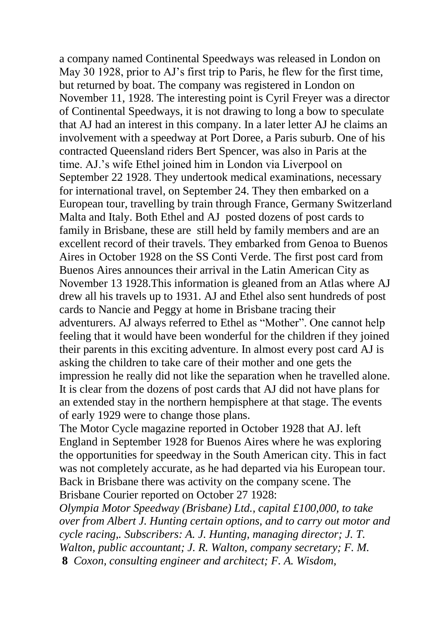a company named Continental Speedways was released in London on May  $30\,1928$ , prior to AJ's first trip to Paris, he flew for the first time, but returned by boat. The company was registered in London on November 11, 1928. The interesting point is Cyril Freyer was a director of Continental Speedways, it is not drawing to long a bow to speculate that AJ had an interest in this company. In a later letter AJ he claims an involvement with a speedway at Port Doree, a Paris suburb. One of his contracted Queensland riders Bert Spencer, was also in Paris at the time. AJ.'s wife Ethel joined him in London via Liverpool on September 22 1928. They undertook medical examinations, necessary for international travel, on September 24. They then embarked on a European tour, travelling by train through France, Germany Switzerland Malta and Italy. Both Ethel and AJ posted dozens of post cards to family in Brisbane, these are still held by family members and are an excellent record of their travels. They embarked from Genoa to Buenos Aires in October 1928 on the SS Conti Verde. The first post card from Buenos Aires announces their arrival in the Latin American City as November 13 1928.This information is gleaned from an Atlas where AJ drew all his travels up to 1931. AJ and Ethel also sent hundreds of post cards to Nancie and Peggy at home in Brisbane tracing their adventurers. AJ always referred to Ethel as "Mother". One cannot help feeling that it would have been wonderful for the children if they joined their parents in this exciting adventure. In almost every post card AJ is asking the children to take care of their mother and one gets the impression he really did not like the separation when he travelled alone. It is clear from the dozens of post cards that AJ did not have plans for an extended stay in the northern hempisphere at that stage. The events of early 1929 were to change those plans.

The Motor Cycle magazine reported in October 1928 that AJ. left England in September 1928 for Buenos Aires where he was exploring the opportunities for speedway in the South American city. This in fact was not completely accurate, as he had departed via his European tour. Back in Brisbane there was activity on the company scene. The Brisbane Courier reported on October 27 1928:

*Olympia Motor Speedway (Brisbane) Ltd., capital £100,000, to take over from Albert J. Hunting certain options, and to carry out motor and cycle racing,. Subscribers: A. J. Hunting, managing director; J. T. Walton, public accountant; J. R. Walton, company secretary; F. M.* **8** *Coxon, consulting engineer and architect; F. A. Wisdom,*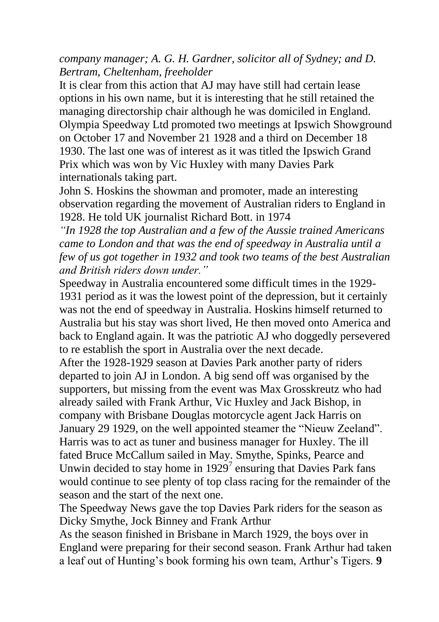*company manager; A. G. H. Gardner, solicitor all of Sydney; and D. Bertram, Cheltenham, freeholder*

It is clear from this action that AJ may have still had certain lease options in his own name, but it is interesting that he still retained the managing directorship chair although he was domiciled in England. Olympia Speedway Ltd promoted two meetings at Ipswich Showground on October 17 and November 21 1928 and a third on December 18 1930. The last one was of interest as it was titled the Ipswich Grand Prix which was won by Vic Huxley with many Davies Park internationals taking part.

John S. Hoskins the showman and promoter, made an interesting observation regarding the movement of Australian riders to England in 1928. He told UK journalist Richard Bott. in 1974

*"In 1928 the top Australian and a few of the Aussie trained Americans came to London and that was the end of speedway in Australia until a few of us got together in 1932 and took two teams of the best Australian and British riders down under."*

Speedway in Australia encountered some difficult times in the 1929- 1931 period as it was the lowest point of the depression, but it certainly was not the end of speedway in Australia. Hoskins himself returned to Australia but his stay was short lived, He then moved onto America and back to England again. It was the patriotic AJ who doggedly persevered to re establish the sport in Australia over the next decade.

After the 1928-1929 season at Davies Park another party of riders departed to join AJ in London. A big send off was organised by the supporters, but missing from the event was Max Grosskreutz who had already sailed with Frank Arthur, Vic Huxley and Jack Bishop, in company with Brisbane Douglas motorcycle agent Jack Harris on January 29 1929, on the well appointed steamer the "Nieuw Zeeland". Harris was to act as tuner and business manager for Huxley. The ill fated Bruce McCallum sailed in May. Smythe, Spinks, Pearce and Unwin decided to stay home in  $1929^7$  ensuring that Davies Park fans would continue to see plenty of top class racing for the remainder of the season and the start of the next one.

The Speedway News gave the top Davies Park riders for the season as Dicky Smythe, Jock Binney and Frank Arthur

As the season finished in Brisbane in March 1929, the boys over in England were preparing for their second season. Frank Arthur had taken a leaf out of Hunting's book forming his own team, Arthur's Tigers. **9**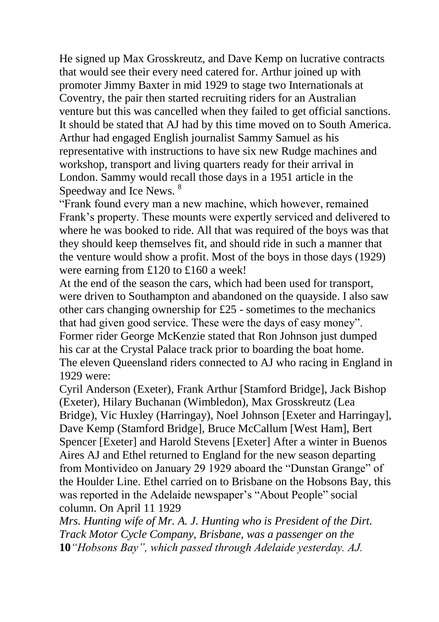He signed up Max Grosskreutz, and Dave Kemp on lucrative contracts that would see their every need catered for. Arthur joined up with promoter Jimmy Baxter in mid 1929 to stage two Internationals at Coventry, the pair then started recruiting riders for an Australian venture but this was cancelled when they failed to get official sanctions. It should be stated that AJ had by this time moved on to South America. Arthur had engaged English journalist Sammy Samuel as his representative with instructions to have six new Rudge machines and workshop, transport and living quarters ready for their arrival in London. Sammy would recall those days in a 1951 article in the Speedway and Ice News. <sup>8</sup>

"Frank found every man a new machine, which however, remained Frank's property. These mounts were expertly serviced and delivered to where he was booked to ride. All that was required of the boys was that they should keep themselves fit, and should ride in such a manner that the venture would show a profit. Most of the boys in those days (1929) were earning from £120 to £160 a week!

At the end of the season the cars, which had been used for transport, were driven to Southampton and abandoned on the quayside. I also saw other cars changing ownership for £25 - sometimes to the mechanics that had given good service. These were the days of easy money". Former rider George McKenzie stated that Ron Johnson just dumped his car at the Crystal Palace track prior to boarding the boat home. The eleven Queensland riders connected to AJ who racing in England in 1929 were:

Cyril Anderson (Exeter), Frank Arthur [Stamford Bridge], Jack Bishop (Exeter), Hilary Buchanan (Wimbledon), Max Grosskreutz (Lea Bridge), Vic Huxley (Harringay), Noel Johnson [Exeter and Harringay], Dave Kemp (Stamford Bridge], Bruce McCallum [West Ham], Bert Spencer [Exeter] and Harold Stevens [Exeter] After a winter in Buenos Aires AJ and Ethel returned to England for the new season departing from Montivideo on January 29 1929 aboard the "Dunstan Grange" of the Houlder Line. Ethel carried on to Brisbane on the Hobsons Bay, this was reported in the Adelaide newspaper's "About People" social column. On April 11 1929

*Mrs. Hunting wife of Mr. A. J. Hunting who is President of the Dirt. Track Motor Cycle Company, Brisbane, was a passenger on the*  **10***"Hobsons Bay", which passed through Adelaide yesterday. AJ.*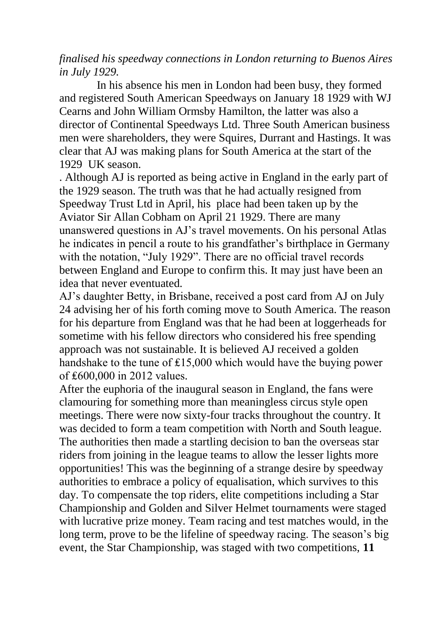#### *finalised his speedway connections in London returning to Buenos Aires in July 1929.*

In his absence his men in London had been busy, they formed and registered South American Speedways on January 18 1929 with WJ Cearns and John William Ormsby Hamilton, the latter was also a director of Continental Speedways Ltd. Three South American business men were shareholders, they were Squires, Durrant and Hastings. It was clear that AJ was making plans for South America at the start of the 1929 UK season.

. Although AJ is reported as being active in England in the early part of the 1929 season. The truth was that he had actually resigned from Speedway Trust Ltd in April, his place had been taken up by the Aviator Sir Allan Cobham on April 21 1929. There are many unanswered questions in AJ's travel movements. On his personal Atlas he indicates in pencil a route to his grandfather's birthplace in Germany with the notation, "July 1929". There are no official travel records between England and Europe to confirm this. It may just have been an idea that never eventuated.

AJ's daughter Betty, in Brisbane, received a post card from AJ on July 24 advising her of his forth coming move to South America. The reason for his departure from England was that he had been at loggerheads for sometime with his fellow directors who considered his free spending approach was not sustainable. It is believed AJ received a golden handshake to the tune of £15,000 which would have the buying power of ₤600,000 in 2012 values.

After the euphoria of the inaugural season in England, the fans were clamouring for something more than meaningless circus style open meetings. There were now sixty-four tracks throughout the country. It was decided to form a team competition with North and South league. The authorities then made a startling decision to ban the overseas star riders from joining in the league teams to allow the lesser lights more opportunities! This was the beginning of a strange desire by speedway authorities to embrace a policy of equalisation, which survives to this day. To compensate the top riders, elite competitions including a Star Championship and Golden and Silver Helmet tournaments were staged with lucrative prize money. Team racing and test matches would, in the long term, prove to be the lifeline of speedway racing. The season's big event, the Star Championship, was staged with two competitions, **11**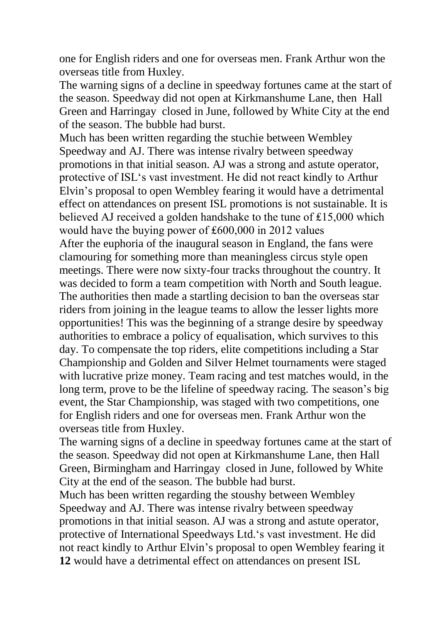one for English riders and one for overseas men. Frank Arthur won the overseas title from Huxley.

The warning signs of a decline in speedway fortunes came at the start of the season. Speedway did not open at Kirkmanshume Lane, then Hall Green and Harringay closed in June, followed by White City at the end of the season. The bubble had burst.

Much has been written regarding the stuchie between Wembley Speedway and AJ. There was intense rivalry between speedway promotions in that initial season. AJ was a strong and astute operator, protective of ISL's vast investment. He did not react kindly to Arthur Elvin's proposal to open Wembley fearing it would have a detrimental effect on attendances on present ISL promotions is not sustainable. It is believed AJ received a golden handshake to the tune of ₤15,000 which would have the buying power of £600,000 in 2012 values After the euphoria of the inaugural season in England, the fans were clamouring for something more than meaningless circus style open meetings. There were now sixty-four tracks throughout the country. It was decided to form a team competition with North and South league. The authorities then made a startling decision to ban the overseas star riders from joining in the league teams to allow the lesser lights more opportunities! This was the beginning of a strange desire by speedway authorities to embrace a policy of equalisation, which survives to this day. To compensate the top riders, elite competitions including a Star Championship and Golden and Silver Helmet tournaments were staged with lucrative prize money. Team racing and test matches would, in the long term, prove to be the lifeline of speedway racing. The season's big event, the Star Championship, was staged with two competitions, one for English riders and one for overseas men. Frank Arthur won the overseas title from Huxley.

The warning signs of a decline in speedway fortunes came at the start of the season. Speedway did not open at Kirkmanshume Lane, then Hall Green, Birmingham and Harringay closed in June, followed by White City at the end of the season. The bubble had burst.

Much has been written regarding the stoushy between Wembley Speedway and AJ. There was intense rivalry between speedway promotions in that initial season. AJ was a strong and astute operator, protective of International Speedways Ltd.'s vast investment. He did not react kindly to Arthur Elvin's proposal to open Wembley fearing it **12** would have a detrimental effect on attendances on present ISL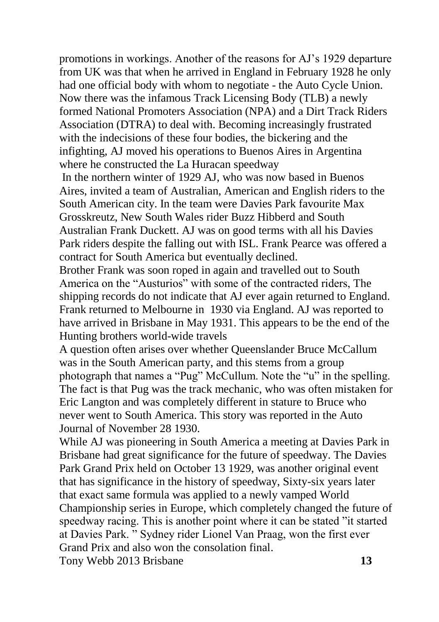promotions in workings. Another of the reasons for AJ's 1929 departure from UK was that when he arrived in England in February 1928 he only had one official body with whom to negotiate - the Auto Cycle Union. Now there was the infamous Track Licensing Body (TLB) a newly formed National Promoters Association (NPA) and a Dirt Track Riders Association (DTRA) to deal with. Becoming increasingly frustrated with the indecisions of these four bodies, the bickering and the infighting, AJ moved his operations to Buenos Aires in Argentina where he constructed the La Huracan speedway

In the northern winter of 1929 AJ, who was now based in Buenos Aires, invited a team of Australian, American and English riders to the South American city. In the team were Davies Park favourite Max Grosskreutz, New South Wales rider Buzz Hibberd and South Australian Frank Duckett. AJ was on good terms with all his Davies Park riders despite the falling out with ISL. Frank Pearce was offered a contract for South America but eventually declined.

Brother Frank was soon roped in again and travelled out to South America on the "Austurios" with some of the contracted riders, The shipping records do not indicate that AJ ever again returned to England. Frank returned to Melbourne in 1930 via England. AJ was reported to have arrived in Brisbane in May 1931. This appears to be the end of the Hunting brothers world-wide travels

A question often arises over whether Queenslander Bruce McCallum was in the South American party, and this stems from a group photograph that names a "Pug" McCullum. Note the "u" in the spelling. The fact is that Pug was the track mechanic, who was often mistaken for Eric Langton and was completely different in stature to Bruce who never went to South America. This story was reported in the Auto Journal of November 28 1930.

While AJ was pioneering in South America a meeting at Davies Park in Brisbane had great significance for the future of speedway. The Davies Park Grand Prix held on October 13 1929, was another original event that has significance in the history of speedway, Sixty-six years later that exact same formula was applied to a newly vamped World Championship series in Europe, which completely changed the future of speedway racing. This is another point where it can be stated "it started at Davies Park. " Sydney rider Lionel Van Praag, won the first ever Grand Prix and also won the consolation final. Tony Webb 2013 Brisbane **13**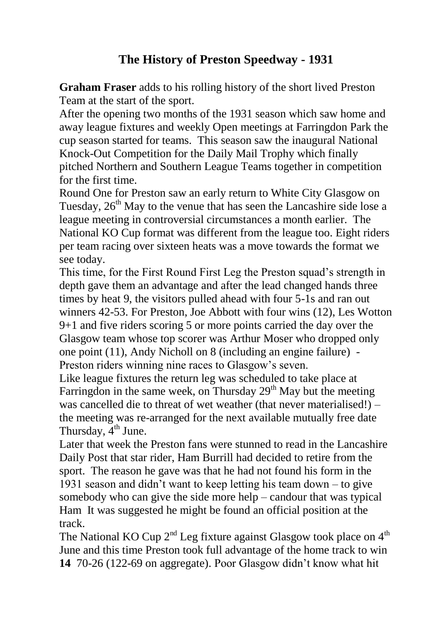# **The History of Preston Speedway - 1931**

**Graham Fraser** adds to his rolling history of the short lived Preston Team at the start of the sport.

After the opening two months of the 1931 season which saw home and away league fixtures and weekly Open meetings at Farringdon Park the cup season started for teams. This season saw the inaugural National Knock-Out Competition for the Daily Mail Trophy which finally pitched Northern and Southern League Teams together in competition for the first time.

Round One for Preston saw an early return to White City Glasgow on Tuesday,  $26<sup>th</sup>$  May to the venue that has seen the Lancashire side lose a league meeting in controversial circumstances a month earlier. The National KO Cup format was different from the league too. Eight riders per team racing over sixteen heats was a move towards the format we see today.

This time, for the First Round First Leg the Preston squad's strength in depth gave them an advantage and after the lead changed hands three times by heat 9, the visitors pulled ahead with four 5-1s and ran out winners 42-53. For Preston, Joe Abbott with four wins (12), Les Wotton 9+1 and five riders scoring 5 or more points carried the day over the Glasgow team whose top scorer was Arthur Moser who dropped only one point (11), Andy Nicholl on 8 (including an engine failure) - Preston riders winning nine races to Glasgow's seven.

Like league fixtures the return leg was scheduled to take place at Farringdon in the same week, on Thursday  $29<sup>th</sup>$  May but the meeting was cancelled die to threat of wet weather (that never materialised!) – the meeting was re-arranged for the next available mutually free date Thursday, 4<sup>th</sup> June.

Later that week the Preston fans were stunned to read in the Lancashire Daily Post that star rider, Ham Burrill had decided to retire from the sport. The reason he gave was that he had not found his form in the 1931 season and didn't want to keep letting his team down – to give somebody who can give the side more help – candour that was typical Ham It was suggested he might be found an official position at the track.

The National KO Cup  $2<sup>nd</sup>$  Leg fixture against Glasgow took place on  $4<sup>th</sup>$ June and this time Preston took full advantage of the home track to win **14** 70-26 (122-69 on aggregate). Poor Glasgow didn't know what hit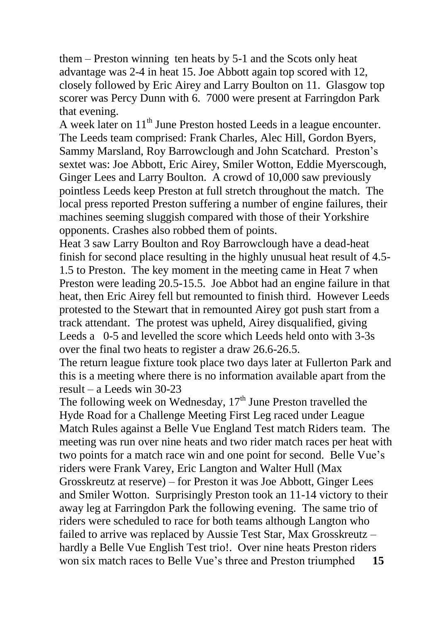them – Preston winning ten heats by 5-1 and the Scots only heat advantage was 2-4 in heat 15. Joe Abbott again top scored with 12, closely followed by Eric Airey and Larry Boulton on 11. Glasgow top scorer was Percy Dunn with 6. 7000 were present at Farringdon Park that evening.

A week later on  $11<sup>th</sup>$  June Preston hosted Leeds in a league encounter. The Leeds team comprised: Frank Charles, Alec Hill, Gordon Byers, Sammy Marsland, Roy Barrowclough and John Scatchard. Preston's sextet was: Joe Abbott, Eric Airey, Smiler Wotton, Eddie Myerscough, Ginger Lees and Larry Boulton. A crowd of 10,000 saw previously pointless Leeds keep Preston at full stretch throughout the match. The local press reported Preston suffering a number of engine failures, their machines seeming sluggish compared with those of their Yorkshire opponents. Crashes also robbed them of points.

Heat 3 saw Larry Boulton and Roy Barrowclough have a dead-heat finish for second place resulting in the highly unusual heat result of 4.5- 1.5 to Preston. The key moment in the meeting came in Heat 7 when Preston were leading 20.5-15.5. Joe Abbot had an engine failure in that heat, then Eric Airey fell but remounted to finish third. However Leeds protested to the Stewart that in remounted Airey got push start from a track attendant. The protest was upheld, Airey disqualified, giving Leeds a 0-5 and levelled the score which Leeds held onto with 3-3s over the final two heats to register a draw 26.6-26.5.

The return league fixture took place two days later at Fullerton Park and this is a meeting where there is no information available apart from the result – a Leeds win 30-23

The following week on Wednesday,  $17<sup>th</sup>$  June Preston travelled the Hyde Road for a Challenge Meeting First Leg raced under League Match Rules against a Belle Vue England Test match Riders team. The meeting was run over nine heats and two rider match races per heat with two points for a match race win and one point for second. Belle Vue's riders were Frank Varey, Eric Langton and Walter Hull (Max Grosskreutz at reserve) – for Preston it was Joe Abbott, Ginger Lees and Smiler Wotton. Surprisingly Preston took an 11-14 victory to their away leg at Farringdon Park the following evening. The same trio of riders were scheduled to race for both teams although Langton who failed to arrive was replaced by Aussie Test Star, Max Grosskreutz – hardly a Belle Vue English Test trio!. Over nine heats Preston riders won six match races to Belle Vue's three and Preston triumphed **15**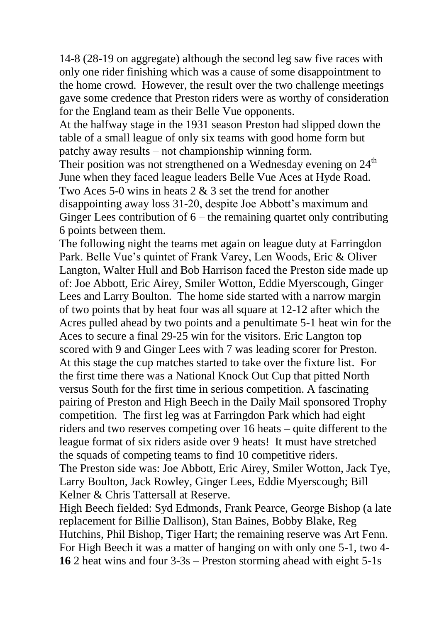14-8 (28-19 on aggregate) although the second leg saw five races with only one rider finishing which was a cause of some disappointment to the home crowd. However, the result over the two challenge meetings gave some credence that Preston riders were as worthy of consideration for the England team as their Belle Vue opponents.

At the halfway stage in the 1931 season Preston had slipped down the table of a small league of only six teams with good home form but patchy away results – not championship winning form.

Their position was not strengthened on a Wednesday evening on  $24<sup>th</sup>$ June when they faced league leaders Belle Vue Aces at Hyde Road. Two Aces 5-0 wins in heats 2 & 3 set the trend for another disappointing away loss 31-20, despite Joe Abbott's maximum and Ginger Lees contribution of 6 – the remaining quartet only contributing 6 points between them.

The following night the teams met again on league duty at Farringdon Park. Belle Vue's quintet of Frank Varey, Len Woods, Eric & Oliver Langton, Walter Hull and Bob Harrison faced the Preston side made up of: Joe Abbott, Eric Airey, Smiler Wotton, Eddie Myerscough, Ginger Lees and Larry Boulton. The home side started with a narrow margin of two points that by heat four was all square at 12-12 after which the Acres pulled ahead by two points and a penultimate 5-1 heat win for the Aces to secure a final 29-25 win for the visitors. Eric Langton top scored with 9 and Ginger Lees with 7 was leading scorer for Preston. At this stage the cup matches started to take over the fixture list. For the first time there was a National Knock Out Cup that pitted North versus South for the first time in serious competition. A fascinating pairing of Preston and High Beech in the Daily Mail sponsored Trophy competition. The first leg was at Farringdon Park which had eight riders and two reserves competing over 16 heats – quite different to the league format of six riders aside over 9 heats! It must have stretched the squads of competing teams to find 10 competitive riders. The Preston side was: Joe Abbott, Eric Airey, Smiler Wotton, Jack Tye,

Larry Boulton, Jack Rowley, Ginger Lees, Eddie Myerscough; Bill Kelner & Chris Tattersall at Reserve.

High Beech fielded: Syd Edmonds, Frank Pearce, George Bishop (a late replacement for Billie Dallison), Stan Baines, Bobby Blake, Reg Hutchins, Phil Bishop, Tiger Hart; the remaining reserve was Art Fenn. For High Beech it was a matter of hanging on with only one 5-1, two 4- **16** 2 heat wins and four 3-3s – Preston storming ahead with eight 5-1s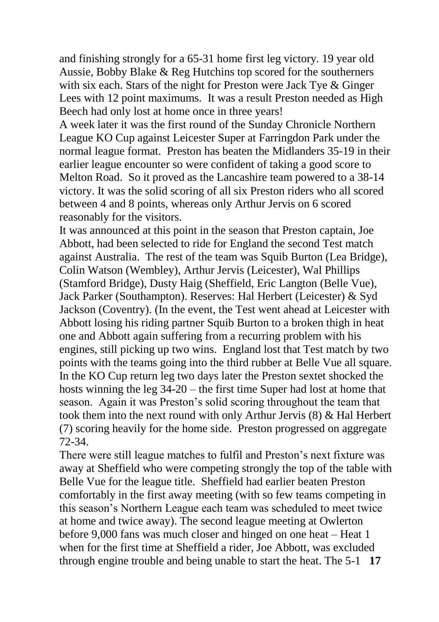and finishing strongly for a 65-31 home first leg victory. 19 year old Aussie, Bobby Blake & Reg Hutchins top scored for the southerners with six each. Stars of the night for Preston were Jack Tye & Ginger Lees with 12 point maximums. It was a result Preston needed as High Beech had only lost at home once in three years!

A week later it was the first round of the Sunday Chronicle Northern League KO Cup against Leicester Super at Farringdon Park under the normal league format. Preston has beaten the Midlanders 35-19 in their earlier league encounter so were confident of taking a good score to Melton Road. So it proved as the Lancashire team powered to a 38-14 victory. It was the solid scoring of all six Preston riders who all scored between 4 and 8 points, whereas only Arthur Jervis on 6 scored reasonably for the visitors.

It was announced at this point in the season that Preston captain, Joe Abbott, had been selected to ride for England the second Test match against Australia. The rest of the team was Squib Burton (Lea Bridge), Colin Watson (Wembley), Arthur Jervis (Leicester), Wal Phillips (Stamford Bridge), Dusty Haig (Sheffield, Eric Langton (Belle Vue), Jack Parker (Southampton). Reserves: Hal Herbert (Leicester) & Syd Jackson (Coventry). (In the event, the Test went ahead at Leicester with Abbott losing his riding partner Squib Burton to a broken thigh in heat one and Abbott again suffering from a recurring problem with his engines, still picking up two wins. England lost that Test match by two points with the teams going into the third rubber at Belle Vue all square. In the KO Cup return leg two days later the Preston sextet shocked the hosts winning the leg 34-20 – the first time Super had lost at home that season. Again it was Preston's solid scoring throughout the team that took them into the next round with only Arthur Jervis (8) & Hal Herbert (7) scoring heavily for the home side. Preston progressed on aggregate 72-34.

There were still league matches to fulfil and Preston's next fixture was away at Sheffield who were competing strongly the top of the table with Belle Vue for the league title. Sheffield had earlier beaten Preston comfortably in the first away meeting (with so few teams competing in this season's Northern League each team was scheduled to meet twice at home and twice away). The second league meeting at Owlerton before 9,000 fans was much closer and hinged on one heat – Heat 1 when for the first time at Sheffield a rider, Joe Abbott, was excluded through engine trouble and being unable to start the heat. The 5-1 **17**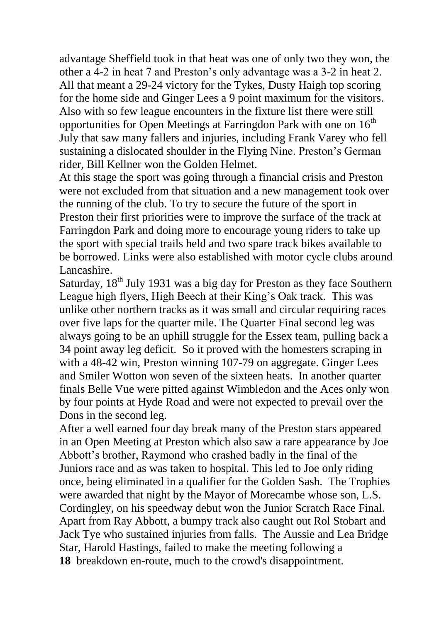advantage Sheffield took in that heat was one of only two they won, the other a 4-2 in heat 7 and Preston's only advantage was a 3-2 in heat 2. All that meant a 29-24 victory for the Tykes, Dusty Haigh top scoring for the home side and Ginger Lees a 9 point maximum for the visitors. Also with so few league encounters in the fixture list there were still opportunities for Open Meetings at Farringdon Park with one on  $16<sup>th</sup>$ July that saw many fallers and injuries, including Frank Varey who fell sustaining a dislocated shoulder in the Flying Nine. Preston's German rider, Bill Kellner won the Golden Helmet.

At this stage the sport was going through a financial crisis and Preston were not excluded from that situation and a new management took over the running of the club. To try to secure the future of the sport in Preston their first priorities were to improve the surface of the track at Farringdon Park and doing more to encourage young riders to take up the sport with special trails held and two spare track bikes available to be borrowed. Links were also established with motor cycle clubs around Lancashire.

Saturday,  $18<sup>th</sup>$  July 1931 was a big day for Preston as they face Southern League high flyers, High Beech at their King's Oak track. This was unlike other northern tracks as it was small and circular requiring races over five laps for the quarter mile. The Quarter Final second leg was always going to be an uphill struggle for the Essex team, pulling back a 34 point away leg deficit. So it proved with the homesters scraping in with a 48-42 win, Preston winning 107-79 on aggregate. Ginger Lees and Smiler Wotton won seven of the sixteen heats. In another quarter finals Belle Vue were pitted against Wimbledon and the Aces only won by four points at Hyde Road and were not expected to prevail over the Dons in the second leg.

After a well earned four day break many of the Preston stars appeared in an Open Meeting at Preston which also saw a rare appearance by Joe Abbott's brother, Raymond who crashed badly in the final of the Juniors race and as was taken to hospital. This led to Joe only riding once, being eliminated in a qualifier for the Golden Sash. The Trophies were awarded that night by the Mayor of Morecambe whose son, L.S. Cordingley, on his speedway debut won the Junior Scratch Race Final. Apart from Ray Abbott, a bumpy track also caught out Rol Stobart and Jack Tye who sustained injuries from falls. The Aussie and Lea Bridge Star, Harold Hastings, failed to make the meeting following a **18** breakdown en-route, much to the crowd's disappointment.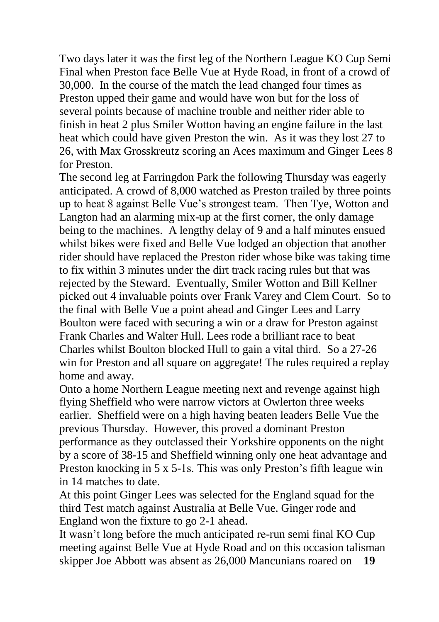Two days later it was the first leg of the Northern League KO Cup Semi Final when Preston face Belle Vue at Hyde Road, in front of a crowd of 30,000. In the course of the match the lead changed four times as Preston upped their game and would have won but for the loss of several points because of machine trouble and neither rider able to finish in heat 2 plus Smiler Wotton having an engine failure in the last heat which could have given Preston the win. As it was they lost 27 to 26, with Max Grosskreutz scoring an Aces maximum and Ginger Lees 8 for Preston.

The second leg at Farringdon Park the following Thursday was eagerly anticipated. A crowd of 8,000 watched as Preston trailed by three points up to heat 8 against Belle Vue's strongest team. Then Tye, Wotton and Langton had an alarming mix-up at the first corner, the only damage being to the machines. A lengthy delay of 9 and a half minutes ensued whilst bikes were fixed and Belle Vue lodged an objection that another rider should have replaced the Preston rider whose bike was taking time to fix within 3 minutes under the dirt track racing rules but that was rejected by the Steward. Eventually, Smiler Wotton and Bill Kellner picked out 4 invaluable points over Frank Varey and Clem Court. So to the final with Belle Vue a point ahead and Ginger Lees and Larry Boulton were faced with securing a win or a draw for Preston against Frank Charles and Walter Hull. Lees rode a brilliant race to beat Charles whilst Boulton blocked Hull to gain a vital third. So a 27-26 win for Preston and all square on aggregate! The rules required a replay home and away.

Onto a home Northern League meeting next and revenge against high flying Sheffield who were narrow victors at Owlerton three weeks earlier. Sheffield were on a high having beaten leaders Belle Vue the previous Thursday. However, this proved a dominant Preston performance as they outclassed their Yorkshire opponents on the night by a score of 38-15 and Sheffield winning only one heat advantage and Preston knocking in 5 x 5-1s. This was only Preston's fifth league win in 14 matches to date.

At this point Ginger Lees was selected for the England squad for the third Test match against Australia at Belle Vue. Ginger rode and England won the fixture to go 2-1 ahead.

It wasn't long before the much anticipated re-run semi final KO Cup meeting against Belle Vue at Hyde Road and on this occasion talisman skipper Joe Abbott was absent as 26,000 Mancunians roared on **19**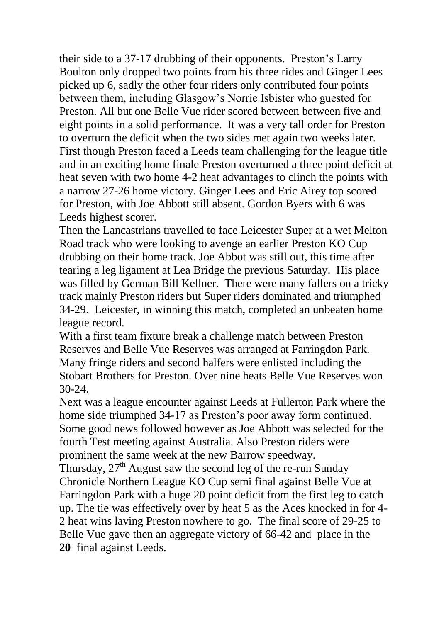their side to a 37-17 drubbing of their opponents. Preston's Larry Boulton only dropped two points from his three rides and Ginger Lees picked up 6, sadly the other four riders only contributed four points between them, including Glasgow's Norrie Isbister who guested for Preston. All but one Belle Vue rider scored between between five and eight points in a solid performance. It was a very tall order for Preston to overturn the deficit when the two sides met again two weeks later. First though Preston faced a Leeds team challenging for the league title and in an exciting home finale Preston overturned a three point deficit at heat seven with two home 4-2 heat advantages to clinch the points with a narrow 27-26 home victory. Ginger Lees and Eric Airey top scored for Preston, with Joe Abbott still absent. Gordon Byers with 6 was Leeds highest scorer.

Then the Lancastrians travelled to face Leicester Super at a wet Melton Road track who were looking to avenge an earlier Preston KO Cup drubbing on their home track. Joe Abbot was still out, this time after tearing a leg ligament at Lea Bridge the previous Saturday. His place was filled by German Bill Kellner. There were many fallers on a tricky track mainly Preston riders but Super riders dominated and triumphed 34-29. Leicester, in winning this match, completed an unbeaten home league record.

With a first team fixture break a challenge match between Preston Reserves and Belle Vue Reserves was arranged at Farringdon Park. Many fringe riders and second halfers were enlisted including the Stobart Brothers for Preston. Over nine heats Belle Vue Reserves won 30-24.

Next was a league encounter against Leeds at Fullerton Park where the home side triumphed 34-17 as Preston's poor away form continued. Some good news followed however as Joe Abbott was selected for the fourth Test meeting against Australia. Also Preston riders were prominent the same week at the new Barrow speedway.

Thursday,  $27<sup>th</sup>$  August saw the second leg of the re-run Sunday Chronicle Northern League KO Cup semi final against Belle Vue at Farringdon Park with a huge 20 point deficit from the first leg to catch up. The tie was effectively over by heat 5 as the Aces knocked in for 4- 2 heat wins laving Preston nowhere to go. The final score of 29-25 to Belle Vue gave then an aggregate victory of 66-42 and place in the **20** final against Leeds.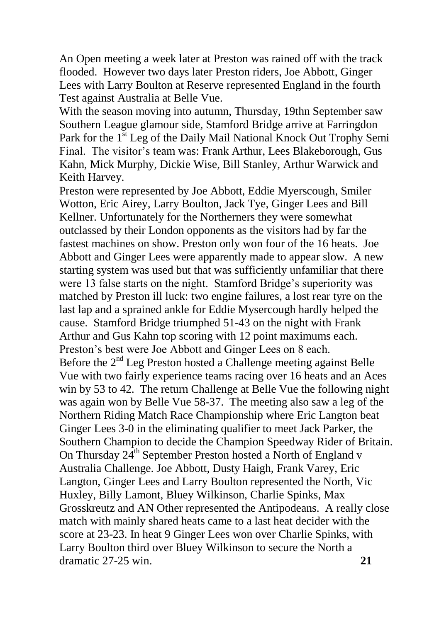An Open meeting a week later at Preston was rained off with the track flooded. However two days later Preston riders, Joe Abbott, Ginger Lees with Larry Boulton at Reserve represented England in the fourth Test against Australia at Belle Vue.

With the season moving into autumn, Thursday, 19thn September saw Southern League glamour side, Stamford Bridge arrive at Farringdon Park for the 1<sup>st</sup> Leg of the Daily Mail National Knock Out Trophy Semi Final. The visitor's team was: Frank Arthur, Lees Blakeborough, Gus Kahn, Mick Murphy, Dickie Wise, Bill Stanley, Arthur Warwick and Keith Harvey.

Preston were represented by Joe Abbott, Eddie Myerscough, Smiler Wotton, Eric Airey, Larry Boulton, Jack Tye, Ginger Lees and Bill Kellner. Unfortunately for the Northerners they were somewhat outclassed by their London opponents as the visitors had by far the fastest machines on show. Preston only won four of the 16 heats. Joe Abbott and Ginger Lees were apparently made to appear slow. A new starting system was used but that was sufficiently unfamiliar that there were 13 false starts on the night. Stamford Bridge's superiority was matched by Preston ill luck: two engine failures, a lost rear tyre on the last lap and a sprained ankle for Eddie Mysercough hardly helped the cause. Stamford Bridge triumphed 51-43 on the night with Frank Arthur and Gus Kahn top scoring with 12 point maximums each. Preston's best were Joe Abbott and Ginger Lees on 8 each. Before the  $2<sup>nd</sup>$  Leg Preston hosted a Challenge meeting against Belle Vue with two fairly experience teams racing over 16 heats and an Aces win by 53 to 42. The return Challenge at Belle Vue the following night was again won by Belle Vue 58-37. The meeting also saw a leg of the Northern Riding Match Race Championship where Eric Langton beat Ginger Lees 3-0 in the eliminating qualifier to meet Jack Parker, the Southern Champion to decide the Champion Speedway Rider of Britain. On Thursday  $24^{\text{th}}$  September Preston hosted a North of England v Australia Challenge. Joe Abbott, Dusty Haigh, Frank Varey, Eric Langton, Ginger Lees and Larry Boulton represented the North, Vic Huxley, Billy Lamont, Bluey Wilkinson, Charlie Spinks, Max Grosskreutz and AN Other represented the Antipodeans. A really close match with mainly shared heats came to a last heat decider with the score at 23-23. In heat 9 Ginger Lees won over Charlie Spinks, with Larry Boulton third over Bluey Wilkinson to secure the North a dramatic 27-25 win. **21**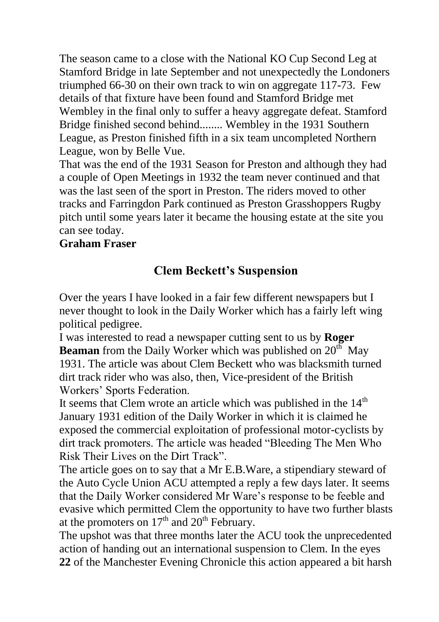The season came to a close with the National KO Cup Second Leg at Stamford Bridge in late September and not unexpectedly the Londoners triumphed 66-30 on their own track to win on aggregate 117-73. Few details of that fixture have been found and Stamford Bridge met Wembley in the final only to suffer a heavy aggregate defeat. Stamford Bridge finished second behind........ Wembley in the 1931 Southern League, as Preston finished fifth in a six team uncompleted Northern League, won by Belle Vue.

That was the end of the 1931 Season for Preston and although they had a couple of Open Meetings in 1932 the team never continued and that was the last seen of the sport in Preston. The riders moved to other tracks and Farringdon Park continued as Preston Grasshoppers Rugby pitch until some years later it became the housing estate at the site you can see today.

### **Graham Fraser**

# **Clem Beckett's Suspension**

Over the years I have looked in a fair few different newspapers but I never thought to look in the Daily Worker which has a fairly left wing political pedigree.

I was interested to read a newspaper cutting sent to us by **Roger Beaman** from the Daily Worker which was published on  $20<sup>th</sup>$  May 1931. The article was about Clem Beckett who was blacksmith turned dirt track rider who was also, then, Vice-president of the British Workers' Sports Federation.

It seems that Clem wrote an article which was published in the  $14<sup>th</sup>$ January 1931 edition of the Daily Worker in which it is claimed he exposed the commercial exploitation of professional motor-cyclists by dirt track promoters. The article was headed "Bleeding The Men Who Risk Their Lives on the Dirt Track".

The article goes on to say that a Mr E.B.Ware, a stipendiary steward of the Auto Cycle Union ACU attempted a reply a few days later. It seems that the Daily Worker considered Mr Ware's response to be feeble and evasive which permitted Clem the opportunity to have two further blasts at the promoters on  $17<sup>th</sup>$  and  $20<sup>th</sup>$  February.

The upshot was that three months later the ACU took the unprecedented action of handing out an international suspension to Clem. In the eyes **22** of the Manchester Evening Chronicle this action appeared a bit harsh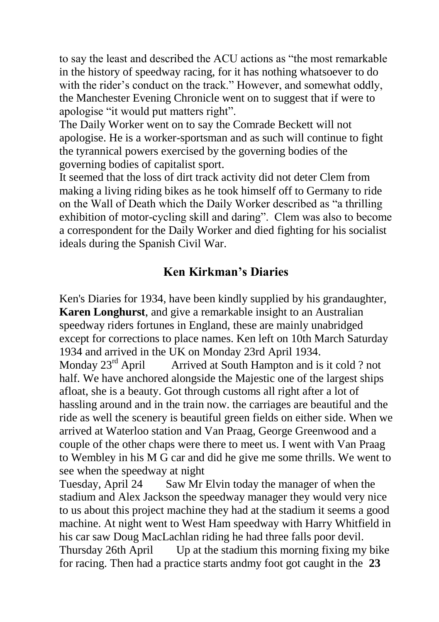to say the least and described the ACU actions as "the most remarkable in the history of speedway racing, for it has nothing whatsoever to do with the rider's conduct on the track." However, and somewhat oddly, the Manchester Evening Chronicle went on to suggest that if were to apologise "it would put matters right".

The Daily Worker went on to say the Comrade Beckett will not apologise. He is a worker-sportsman and as such will continue to fight the tyrannical powers exercised by the governing bodies of the governing bodies of capitalist sport.

It seemed that the loss of dirt track activity did not deter Clem from making a living riding bikes as he took himself off to Germany to ride on the Wall of Death which the Daily Worker described as "a thrilling exhibition of motor-cycling skill and daring". Clem was also to become a correspondent for the Daily Worker and died fighting for his socialist ideals during the Spanish Civil War.

## **Ken Kirkman's Diaries**

Ken's Diaries for 1934, have been kindly supplied by his grandaughter, **Karen Longhurst**, and give a remarkable insight to an Australian speedway riders fortunes in England, these are mainly unabridged except for corrections to place names. Ken left on 10th March Saturday 1934 and arrived in the UK on Monday 23rd April 1934.<br>Monday 23<sup>rd</sup> April Arrived at South Hampton and is Arrived at South Hampton and is it cold ? not half. We have anchored alongside the Majestic one of the largest ships afloat, she is a beauty. Got through customs all right after a lot of hassling around and in the train now. the carriages are beautiful and the ride as well the scenery is beautiful green fields on either side. When we arrived at Waterloo station and Van Praag, George Greenwood and a

couple of the other chaps were there to meet us. I went with Van Praag to Wembley in his M G car and did he give me some thrills. We went to see when the speedway at night

Tuesday, April 24 Saw Mr Elvin today the manager of when the stadium and Alex Jackson the speedway manager they would very nice to us about this project machine they had at the stadium it seems a good machine. At night went to West Ham speedway with Harry Whitfield in his car saw Doug MacLachlan riding he had three falls poor devil. Thursday 26th April Up at the stadium this morning fixing my bike for racing. Then had a practice starts andmy foot got caught in the **23**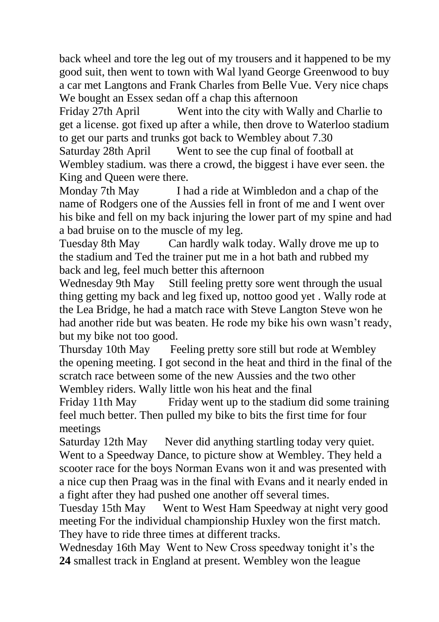back wheel and tore the leg out of my trousers and it happened to be my good suit, then went to town with Wal lyand George Greenwood to buy a car met Langtons and Frank Charles from Belle Vue. Very nice chaps We bought an Essex sedan off a chap this afternoon

Friday 27th April Went into the city with Wally and Charlie to get a license. got fixed up after a while, then drove to Waterloo stadium to get our parts and trunks got back to Wembley about 7.30

Saturday 28th April Went to see the cup final of football at Wembley stadium. was there a crowd, the biggest i have ever seen. the King and Queen were there.

Monday 7th May I had a ride at Wimbledon and a chap of the name of Rodgers one of the Aussies fell in front of me and I went over his bike and fell on my back injuring the lower part of my spine and had a bad bruise on to the muscle of my leg.

Tuesday 8th May Can hardly walk today. Wally drove me up to the stadium and Ted the trainer put me in a hot bath and rubbed my back and leg, feel much better this afternoon

Wednesday 9th May Still feeling pretty sore went through the usual thing getting my back and leg fixed up, nottoo good yet . Wally rode at the Lea Bridge, he had a match race with Steve Langton Steve won he had another ride but was beaten. He rode my bike his own wasn't ready, but my bike not too good.

Thursday 10th May Feeling pretty sore still but rode at Wembley the opening meeting. I got second in the heat and third in the final of the scratch race between some of the new Aussies and the two other Wembley riders. Wally little won his heat and the final

Friday 11th May Friday went up to the stadium did some training feel much better. Then pulled my bike to bits the first time for four meetings

Saturday 12th May Never did anything startling today very quiet. Went to a Speedway Dance, to picture show at Wembley. They held a scooter race for the boys Norman Evans won it and was presented with a nice cup then Praag was in the final with Evans and it nearly ended in a fight after they had pushed one another off several times.

Tuesday 15th May Went to West Ham Speedway at night very good meeting For the individual championship Huxley won the first match. They have to ride three times at different tracks.

Wednesday 16th May Went to New Cross speedway tonight it's the **24** smallest track in England at present. Wembley won the league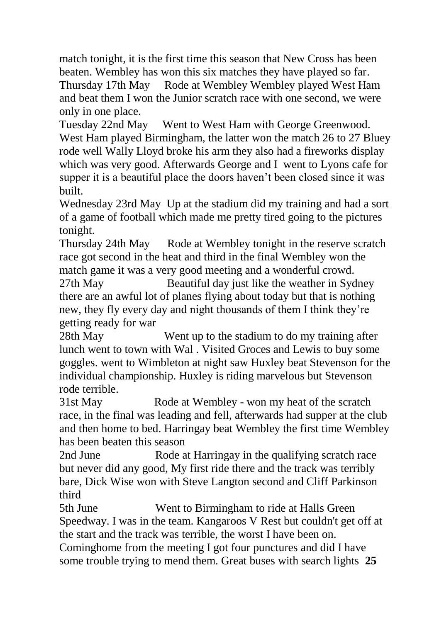match tonight, it is the first time this season that New Cross has been beaten. Wembley has won this six matches they have played so far. Thursday 17th May Rode at Wembley Wembley played West Ham and beat them I won the Junior scratch race with one second, we were only in one place.

Tuesday 22nd May Went to West Ham with George Greenwood. West Ham played Birmingham, the latter won the match 26 to 27 Bluey rode well Wally Lloyd broke his arm they also had a fireworks display which was very good. Afterwards George and I went to Lyons cafe for supper it is a beautiful place the doors haven't been closed since it was built.

Wednesday 23rd May Up at the stadium did my training and had a sort of a game of football which made me pretty tired going to the pictures tonight.

Thursday 24th May Rode at Wembley tonight in the reserve scratch race got second in the heat and third in the final Wembley won the match game it was a very good meeting and a wonderful crowd.

27th May Beautiful day just like the weather in Sydney there are an awful lot of planes flying about today but that is nothing new, they fly every day and night thousands of them I think they're getting ready for war

28th May Went up to the stadium to do my training after lunch went to town with Wal . Visited Groces and Lewis to buy some goggles. went to Wimbleton at night saw Huxley beat Stevenson for the individual championship. Huxley is riding marvelous but Stevenson rode terrible.

31st May Rode at Wembley - won my heat of the scratch race, in the final was leading and fell, afterwards had supper at the club and then home to bed. Harringay beat Wembley the first time Wembley has been beaten this season

2nd June Rode at Harringay in the qualifying scratch race but never did any good, My first ride there and the track was terribly bare, Dick Wise won with Steve Langton second and Cliff Parkinson third

5th June Went to Birmingham to ride at Halls Green Speedway. I was in the team. Kangaroos V Rest but couldn't get off at the start and the track was terrible, the worst I have been on.

Cominghome from the meeting I got four punctures and did I have some trouble trying to mend them. Great buses with search lights **25**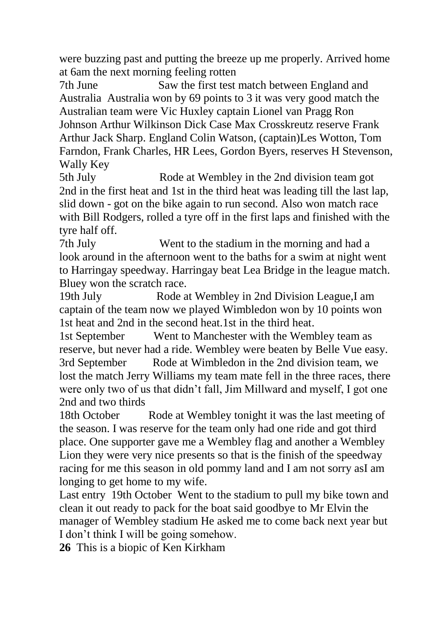were buzzing past and putting the breeze up me properly. Arrived home at 6am the next morning feeling rotten

7th June Saw the first test match between England and Australia Australia won by 69 points to 3 it was very good match the Australian team were Vic Huxley captain Lionel van Pragg Ron Johnson Arthur Wilkinson Dick Case Max Crosskreutz reserve Frank Arthur Jack Sharp. England Colin Watson, (captain)Les Wotton, Tom Farndon, Frank Charles, HR Lees, Gordon Byers, reserves H Stevenson, Wally Key

5th July Rode at Wembley in the 2nd division team got 2nd in the first heat and 1st in the third heat was leading till the last lap, slid down - got on the bike again to run second. Also won match race with Bill Rodgers, rolled a tyre off in the first laps and finished with the tyre half off.

7th July Went to the stadium in the morning and had a look around in the afternoon went to the baths for a swim at night went to Harringay speedway. Harringay beat Lea Bridge in the league match. Bluey won the scratch race.

19th July Rode at Wembley in 2nd Division League,I am captain of the team now we played Wimbledon won by 10 points won 1st heat and 2nd in the second heat.1st in the third heat.

1st September Went to Manchester with the Wembley team as reserve, but never had a ride. Wembley were beaten by Belle Vue easy. 3rd September Rode at Wimbledon in the 2nd division team, we lost the match Jerry Williams my team mate fell in the three races, there were only two of us that didn't fall, Jim Millward and myself, I got one 2nd and two thirds

18th October Rode at Wembley tonight it was the last meeting of the season. I was reserve for the team only had one ride and got third place. One supporter gave me a Wembley flag and another a Wembley Lion they were very nice presents so that is the finish of the speedway racing for me this season in old pommy land and I am not sorry asI am longing to get home to my wife.

Last entry 19th October Went to the stadium to pull my bike town and clean it out ready to pack for the boat said goodbye to Mr Elvin the manager of Wembley stadium He asked me to come back next year but I don't think I will be going somehow.

**26** This is a biopic of Ken Kirkham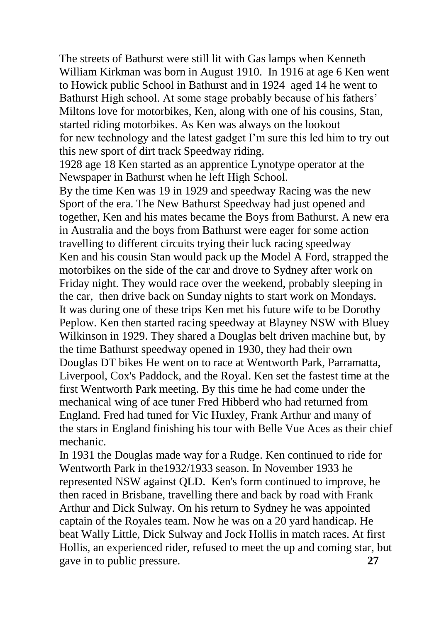The streets of Bathurst were still lit with Gas lamps when Kenneth William Kirkman was born in August 1910. In 1916 at age 6 Ken went to Howick public School in Bathurst and in 1924 aged 14 he went to Bathurst High school. At some stage probably because of his fathers' Miltons love for motorbikes, Ken, along with one of his cousins, Stan, started riding motorbikes. As Ken was always on the lookout for new technology and the latest gadget I'm sure this led him to try out this new sport of dirt track Speedway riding.

1928 age 18 Ken started as an apprentice Lynotype operator at the Newspaper in Bathurst when he left High School.

By the time Ken was 19 in 1929 and speedway Racing was the new Sport of the era. The New Bathurst Speedway had just opened and together, Ken and his mates became the Boys from Bathurst. A new era in Australia and the boys from Bathurst were eager for some action travelling to different circuits trying their luck racing speedway Ken and his cousin Stan would pack up the Model A Ford, strapped the motorbikes on the side of the car and drove to Sydney after work on Friday night. They would race over the weekend, probably sleeping in the car, then drive back on Sunday nights to start work on Mondays. It was during one of these trips Ken met his future wife to be Dorothy Peplow. Ken then started racing speedway at Blayney NSW with Bluey Wilkinson in 1929. They shared a Douglas belt driven machine but, by the time Bathurst speedway opened in 1930, they had their own Douglas DT bikes He went on to race at Wentworth Park, Parramatta, Liverpool, Cox's Paddock, and the Royal. Ken set the fastest time at the first Wentworth Park meeting. By this time he had come under the mechanical wing of ace tuner Fred Hibberd who had returned from England. Fred had tuned for Vic Huxley, Frank Arthur and many of the stars in England finishing his tour with Belle Vue Aces as their chief mechanic.

In 1931 the Douglas made way for a Rudge. Ken continued to ride for Wentworth Park in the1932/1933 season. In November 1933 he represented NSW against QLD. Ken's form continued to improve, he then raced in Brisbane, travelling there and back by road with Frank Arthur and Dick Sulway. On his return to Sydney he was appointed captain of the Royales team. Now he was on a 20 yard handicap. He beat Wally Little, Dick Sulway and Jock Hollis in match races. At first Hollis, an experienced rider, refused to meet the up and coming star, but gave in to public pressure. **27**